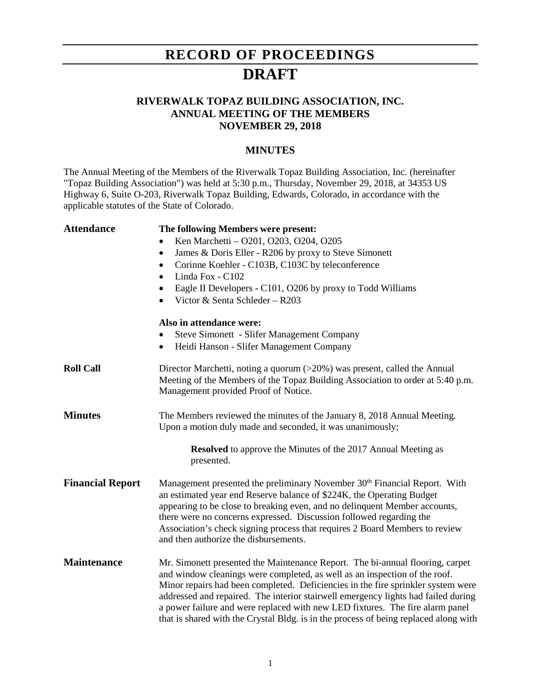# **RECORD OF PROCEEDINGS DRAFT**

### **RIVERWALK TOPAZ BUILDING ASSOCIATION, INC. ANNUAL MEETING OF THE MEMBERS NOVEMBER 29, 2018**

#### **MINUTES**

The Annual Meeting of the Members of the Riverwalk Topaz Building Association, Inc. (hereinafter "Topaz Building Association") was held at 5:30 p.m., Thursday, November 29, 2018, at 34353 US Highway 6, Suite O-203, Riverwalk Topaz Building, Edwards, Colorado, in accordance with the applicable statutes of the State of Colorado.

| <b>Attendance</b>       | The following Members were present:                                                                                                                                                                                                                                                                                                                                                                                                                                                                           |
|-------------------------|---------------------------------------------------------------------------------------------------------------------------------------------------------------------------------------------------------------------------------------------------------------------------------------------------------------------------------------------------------------------------------------------------------------------------------------------------------------------------------------------------------------|
|                         | Ken Marchetti - O201, O203, O204, O205                                                                                                                                                                                                                                                                                                                                                                                                                                                                        |
|                         | James & Doris Eller - R206 by proxy to Steve Simonett<br>$\bullet$                                                                                                                                                                                                                                                                                                                                                                                                                                            |
|                         | Corinne Koehler - C103B, C103C by teleconference<br>$\bullet$                                                                                                                                                                                                                                                                                                                                                                                                                                                 |
|                         | Linda Fox - C102<br>$\bullet$                                                                                                                                                                                                                                                                                                                                                                                                                                                                                 |
|                         | Eagle II Developers - C101, O206 by proxy to Todd Williams                                                                                                                                                                                                                                                                                                                                                                                                                                                    |
|                         | Victor & Senta Schleder - R203                                                                                                                                                                                                                                                                                                                                                                                                                                                                                |
|                         | Also in attendance were:                                                                                                                                                                                                                                                                                                                                                                                                                                                                                      |
|                         | <b>Steve Simonett - Slifer Management Company</b>                                                                                                                                                                                                                                                                                                                                                                                                                                                             |
|                         | Heidi Hanson - Slifer Management Company<br>$\bullet$                                                                                                                                                                                                                                                                                                                                                                                                                                                         |
| <b>Roll Call</b>        | Director Marchetti, noting a quorum (>20%) was present, called the Annual<br>Meeting of the Members of the Topaz Building Association to order at 5:40 p.m.<br>Management provided Proof of Notice.                                                                                                                                                                                                                                                                                                           |
| <b>Minutes</b>          | The Members reviewed the minutes of the January 8, 2018 Annual Meeting.<br>Upon a motion duly made and seconded, it was unanimously;                                                                                                                                                                                                                                                                                                                                                                          |
|                         | <b>Resolved</b> to approve the Minutes of the 2017 Annual Meeting as<br>presented.                                                                                                                                                                                                                                                                                                                                                                                                                            |
| <b>Financial Report</b> | Management presented the preliminary November 30 <sup>th</sup> Financial Report. With<br>an estimated year end Reserve balance of \$224K, the Operating Budget<br>appearing to be close to breaking even, and no delinquent Member accounts,<br>there were no concerns expressed. Discussion followed regarding the<br>Association's check signing process that requires 2 Board Members to review<br>and then authorize the disbursements.                                                                   |
| <b>Maintenance</b>      | Mr. Simonett presented the Maintenance Report. The bi-annual flooring, carpet<br>and window cleanings were completed, as well as an inspection of the roof.<br>Minor repairs had been completed. Deficiencies in the fire sprinkler system were<br>addressed and repaired. The interior stairwell emergency lights had failed during<br>a power failure and were replaced with new LED fixtures. The fire alarm panel<br>that is shared with the Crystal Bldg. is in the process of being replaced along with |